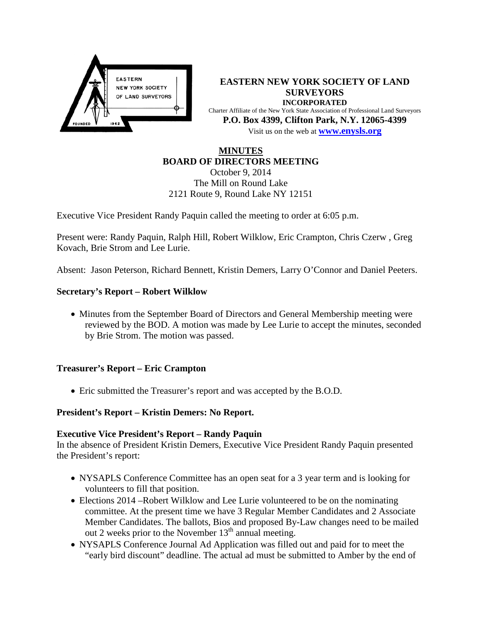

**EASTERN NEW YORK SOCIETY OF LAND SURVEYORS INCORPORATED** Charter Affiliate of the New York State Association of Professional Land Surveyors **P.O. Box 4399, Clifton Park, N.Y. 12065-4399** Visit us on the web at **[www.e](http://www.enysls.org/)nysls.org**

# **MINUTES BOARD OF DIRECTORS MEETING**

October 9, 2014 The Mill on Round Lake 2121 Route 9, Round Lake NY 12151

Executive Vice President Randy Paquin called the meeting to order at 6:05 p.m.

Present were: Randy Paquin, Ralph Hill, Robert Wilklow, Eric Crampton, Chris Czerw , Greg Kovach, Brie Strom and Lee Lurie.

Absent: Jason Peterson, Richard Bennett, Kristin Demers, Larry O'Connor and Daniel Peeters.

# **Secretary's Report – Robert Wilklow**

• Minutes from the September Board of Directors and General Membership meeting were reviewed by the BOD. A motion was made by Lee Lurie to accept the minutes, seconded by Brie Strom. The motion was passed.

### **Treasurer's Report – Eric Crampton**

• Eric submitted the Treasurer's report and was accepted by the B.O.D.

# **President's Report – Kristin Demers: No Report.**

### **Executive Vice President's Report – Randy Paquin**

In the absence of President Kristin Demers, Executive Vice President Randy Paquin presented the President's report:

- NYSAPLS Conference Committee has an open seat for a 3 year term and is looking for volunteers to fill that position.
- Elections 2014 –Robert Wilklow and Lee Lurie volunteered to be on the nominating committee. At the present time we have 3 Regular Member Candidates and 2 Associate Member Candidates. The ballots, Bios and proposed By-Law changes need to be mailed out 2 weeks prior to the November  $13<sup>th</sup>$  annual meeting.
- NYSAPLS Conference Journal Ad Application was filled out and paid for to meet the "early bird discount" deadline. The actual ad must be submitted to Amber by the end of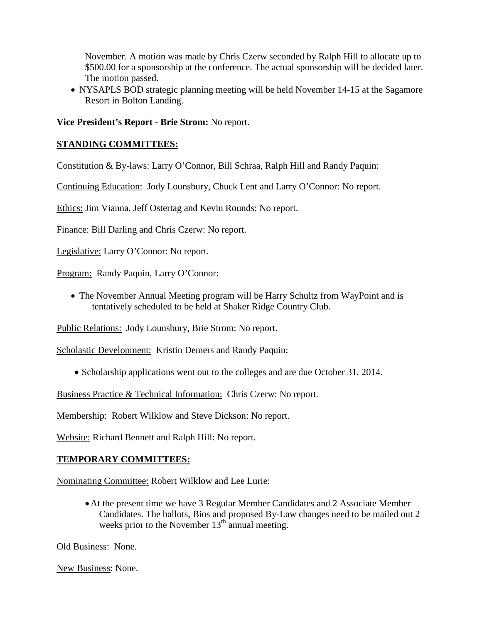November. A motion was made by Chris Czerw seconded by Ralph Hill to allocate up to \$500.00 for a sponsorship at the conference. The actual sponsorship will be decided later. The motion passed.

• NYSAPLS BOD strategic planning meeting will be held November 14-15 at the Sagamore Resort in Bolton Landing.

**Vice President's Report - Brie Strom:** No report.

# **STANDING COMMITTEES:**

Constitution & By-laws: Larry O'Connor, Bill Schraa, Ralph Hill and Randy Paquin:

Continuing Education: Jody Lounsbury, Chuck Lent and Larry O'Connor: No report.

Ethics: Jim Vianna, Jeff Ostertag and Kevin Rounds: No report.

Finance: Bill Darling and Chris Czerw: No report.

Legislative: Larry O'Connor: No report.

Program: Randy Paquin, Larry O'Connor:

• The November Annual Meeting program will be Harry Schultz from WayPoint and is tentatively scheduled to be held at Shaker Ridge Country Club.

Public Relations: Jody Lounsbury, Brie Strom: No report.

Scholastic Development: Kristin Demers and Randy Paquin:

• Scholarship applications went out to the colleges and are due October 31, 2014.

Business Practice & Technical Information: Chris Czerw: No report.

Membership: Robert Wilklow and Steve Dickson: No report.

Website: Richard Bennett and Ralph Hill: No report.

### **TEMPORARY COMMITTEES:**

Nominating Committee: Robert Wilklow and Lee Lurie:

•At the present time we have 3 Regular Member Candidates and 2 Associate Member Candidates. The ballots, Bios and proposed By-Law changes need to be mailed out 2 weeks prior to the November  $13<sup>th</sup>$  annual meeting.

Old Business: None.

New Business: None.